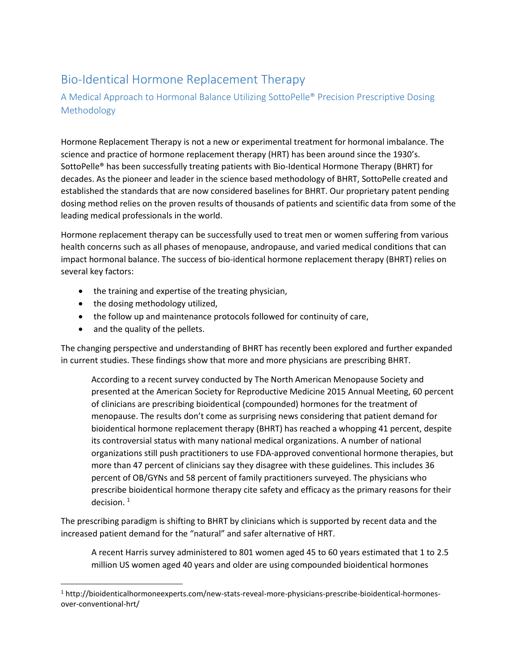# Bio-Identical Hormone Replacement Therapy

### A Medical Approach to Hormonal Balance Utilizing SottoPelle® Precision Prescriptive Dosing Methodology

Hormone Replacement Therapy is not a new or experimental treatment for hormonal imbalance. The science and practice of hormone replacement therapy (HRT) has been around since the 1930's. SottoPelle® has been successfully treating patients with Bio-Identical Hormone Therapy (BHRT) for decades. As the pioneer and leader in the science based methodology of BHRT, SottoPelle created and established the standards that are now considered baselines for BHRT. Our proprietary patent pending dosing method relies on the proven results of thousands of patients and scientific data from some of the leading medical professionals in the world.

Hormone replacement therapy can be successfully used to treat men or women suffering from various health concerns such as all phases of menopause, andropause, and varied medical conditions that can impact hormonal balance. The success of bio-identical hormone replacement therapy (BHRT) relies on several key factors:

- the training and expertise of the treating physician,
- the dosing methodology utilized,
- the follow up and maintenance protocols followed for continuity of care,
- and the quality of the pellets.

l

The changing perspective and understanding of BHRT has recently been explored and further expanded in current studies. These findings show that more and more physicians are prescribing BHRT.

According to a recent survey conducted by The North American Menopause Society and presented at the American Society for Reproductive Medicine 2015 Annual Meeting, 60 percent of clinicians are prescribing bioidentical (compounded) hormones for the treatment of menopause. The results don't come as surprising news considering that patient demand for bioidentical hormone replacement therapy (BHRT) has reached a whopping 41 percent, despite its controversial status with many national medical organizations. A number of national organizations still push practitioners to use FDA-approved conventional hormone therapies, but more than 47 percent of clinicians say they disagree with these guidelines. This includes 36 percent of OB/GYNs and 58 percent of family practitioners surveyed. The physicians who prescribe bioidentical hormone therapy cite safety and efficacy as the primary reasons for their decision.  $1$ 

The prescribing paradigm is shifting to BHRT by clinicians which is supported by recent data and the increased patient demand for the "natural" and safer alternative of HRT.

A recent Harris survey administered to 801 women aged 45 to 60 years estimated that 1 to 2.5 million US women aged 40 years and older are using compounded bioidentical hormones

<sup>1</sup> http://bioidenticalhormoneexperts.com/new-stats-reveal-more-physicians-prescribe-bioidentical-hormonesover-conventional-hrt/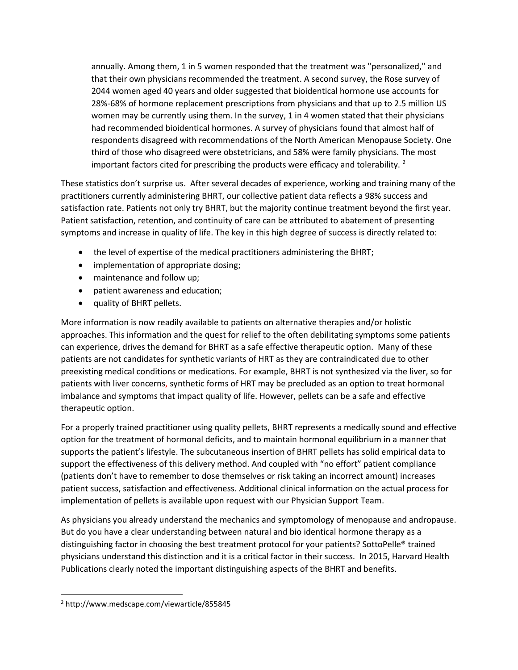annually. Among them, 1 in 5 women responded that the treatment was "personalized," and that their own physicians recommended the treatment. A second survey, the Rose survey of 2044 women aged 40 years and older suggested that bioidentical hormone use accounts for 28%-68% of hormone replacement prescriptions from physicians and that up to 2.5 million US women may be currently using them. In the survey, 1 in 4 women stated that their physicians had recommended bioidentical hormones. A survey of physicians found that almost half of respondents disagreed with recommendations of the North American Menopause Society. One third of those who disagreed were obstetricians, and 58% were family physicians. The most important factors cited for prescribing the products were efficacy and tolerability.  $2$ 

These statistics don't surprise us. After several decades of experience, working and training many of the practitioners currently administering BHRT, our collective patient data reflects a 98% success and satisfaction rate. Patients not only try BHRT, but the majority continue treatment beyond the first year. Patient satisfaction, retention, and continuity of care can be attributed to abatement of presenting symptoms and increase in quality of life. The key in this high degree of success is directly related to:

- the level of expertise of the medical practitioners administering the BHRT;
- implementation of appropriate dosing;
- maintenance and follow up;
- patient awareness and education;
- quality of BHRT pellets.

More information is now readily available to patients on alternative therapies and/or holistic approaches. This information and the quest for relief to the often debilitating symptoms some patients can experience, drives the demand for BHRT as a safe effective therapeutic option. Many of these patients are not candidates for synthetic variants of HRT as they are contraindicated due to other preexisting medical conditions or medications. For example, BHRT is not synthesized via the liver, so for patients with liver concerns, synthetic forms of HRT may be precluded as an option to treat hormonal imbalance and symptoms that impact quality of life. However, pellets can be a safe and effective therapeutic option.

For a properly trained practitioner using quality pellets, BHRT represents a medically sound and effective option for the treatment of hormonal deficits, and to maintain hormonal equilibrium in a manner that supports the patient's lifestyle. The subcutaneous insertion of BHRT pellets has solid empirical data to support the effectiveness of this delivery method. And coupled with "no effort" patient compliance (patients don't have to remember to dose themselves or risk taking an incorrect amount) increases patient success, satisfaction and effectiveness. Additional clinical information on the actual process for implementation of pellets is available upon request with our Physician Support Team.

As physicians you already understand the mechanics and symptomology of menopause and andropause. But do you have a clear understanding between natural and bio identical hormone therapy as a distinguishing factor in choosing the best treatment protocol for your patients? SottoPelle® trained physicians understand this distinction and it is a critical factor in their success. In 2015, Harvard Health Publications clearly noted the important distinguishing aspects of the BHRT and benefits.

 $\overline{\phantom{a}}$ 

<sup>2</sup> http://www.medscape.com/viewarticle/855845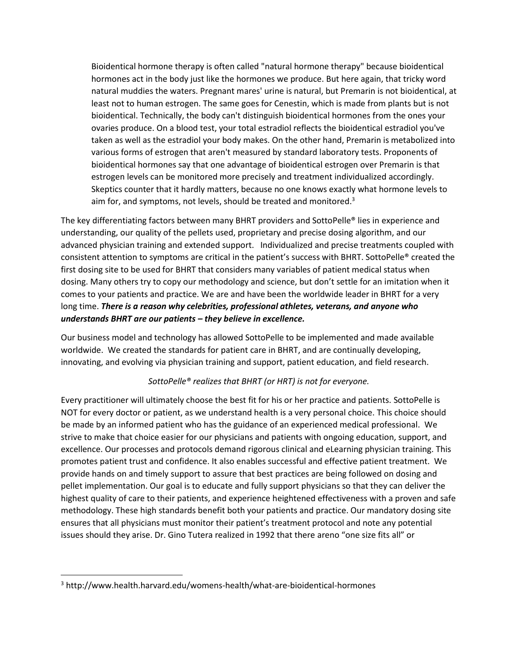Bioidentical hormone therapy is often called "natural hormone therapy" because bioidentical hormones act in the body just like the hormones we produce. But here again, that tricky word natural muddies the waters. Pregnant mares' urine is natural, but Premarin is not bioidentical, at least not to human estrogen. The same goes for Cenestin, which is made from plants but is not bioidentical. Technically, the body can't distinguish bioidentical hormones from the ones your ovaries produce. On a blood test, your total estradiol reflects the bioidentical estradiol you've taken as well as the estradiol your body makes. On the other hand, Premarin is metabolized into various forms of estrogen that aren't measured by standard laboratory tests. Proponents of bioidentical hormones say that one advantage of bioidentical estrogen over Premarin is that estrogen levels can be monitored more precisely and treatment individualized accordingly. Skeptics counter that it hardly matters, because no one knows exactly what hormone levels to aim for, and symptoms, not levels, should be treated and monitored. $3$ 

The key differentiating factors between many BHRT providers and SottoPelle® lies in experience and understanding, our quality of the pellets used, proprietary and precise dosing algorithm, and our advanced physician training and extended support. Individualized and precise treatments coupled with consistent attention to symptoms are critical in the patient's success with BHRT. SottoPelle® created the first dosing site to be used for BHRT that considers many variables of patient medical status when dosing. Many others try to copy our methodology and science, but don't settle for an imitation when it comes to your patients and practice. We are and have been the worldwide leader in BHRT for a very long time. *There is a reason why celebrities, professional athletes, veterans, and anyone who understands BHRT are our patients – they believe in excellence.* 

Our business model and technology has allowed SottoPelle to be implemented and made available worldwide. We created the standards for patient care in BHRT, and are continually developing, innovating, and evolving via physician training and support, patient education, and field research.

#### *SottoPelle® realizes that BHRT (or HRT) is not for everyone.*

Every practitioner will ultimately choose the best fit for his or her practice and patients. SottoPelle is NOT for every doctor or patient, as we understand health is a very personal choice. This choice should be made by an informed patient who has the guidance of an experienced medical professional. We strive to make that choice easier for our physicians and patients with ongoing education, support, and excellence. Our processes and protocols demand rigorous clinical and eLearning physician training. This promotes patient trust and confidence. It also enables successful and effective patient treatment. We provide hands on and timely support to assure that best practices are being followed on dosing and pellet implementation. Our goal is to educate and fully support physicians so that they can deliver the highest quality of care to their patients, and experience heightened effectiveness with a proven and safe methodology. These high standards benefit both your patients and practice. Our mandatory dosing site ensures that all physicians must monitor their patient's treatment protocol and note any potential issues should they arise. Dr. Gino Tutera realized in 1992 that there areno "one size fits all" or

 $\overline{\phantom{a}}$ 

<sup>3</sup> http://www.health.harvard.edu/womens-health/what-are-bioidentical-hormones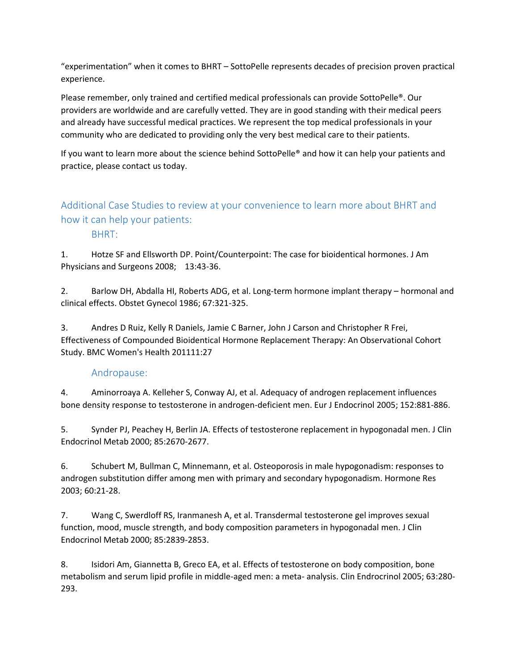"experimentation" when it comes to BHRT – SottoPelle represents decades of precision proven practical experience.

Please remember, only trained and certified medical professionals can provide SottoPelle®. Our providers are worldwide and are carefully vetted. They are in good standing with their medical peers and already have successful medical practices. We represent the top medical professionals in your community who are dedicated to providing only the very best medical care to their patients.

If you want to learn more about the science behind SottoPelle® and how it can help your patients and practice, please contact us today.

# Additional Case Studies to review at your convenience to learn more about BHRT and how it can help your patients:

BHRT:

1. Hotze SF and Ellsworth DP. Point/Counterpoint: The case for bioidentical hormones. J Am Physicians and Surgeons 2008; 13:43-36.

2. Barlow DH, Abdalla HI, Roberts ADG, et al. Long-term hormone implant therapy – hormonal and clinical effects. Obstet Gynecol 1986; 67:321-325.

3. Andres D Ruiz, Kelly R Daniels, Jamie C Barner, John J Carson and Christopher R Frei, Effectiveness of Compounded Bioidentical Hormone Replacement Therapy: An Observational Cohort Study. BMC Women's Health 201111:27

## Andropause:

4. Aminorroaya A. Kelleher S, Conway AJ, et al. Adequacy of androgen replacement influences bone density response to testosterone in androgen-deficient men. Eur J Endocrinol 2005; 152:881-886.

5. Synder PJ, Peachey H, Berlin JA. Effects of testosterone replacement in hypogonadal men. J Clin Endocrinol Metab 2000; 85:2670-2677.

6. Schubert M, Bullman C, Minnemann, et al. Osteoporosis in male hypogonadism: responses to androgen substitution differ among men with primary and secondary hypogonadism. Hormone Res 2003; 60:21-28.

7. Wang C, Swerdloff RS, Iranmanesh A, et al. Transdermal testosterone gel improves sexual function, mood, muscle strength, and body composition parameters in hypogonadal men. J Clin Endocrinol Metab 2000; 85:2839-2853.

8. Isidori Am, Giannetta B, Greco EA, et al. Effects of testosterone on body composition, bone metabolism and serum lipid profile in middle-aged men: a meta- analysis. Clin Endrocrinol 2005; 63:280- 293.